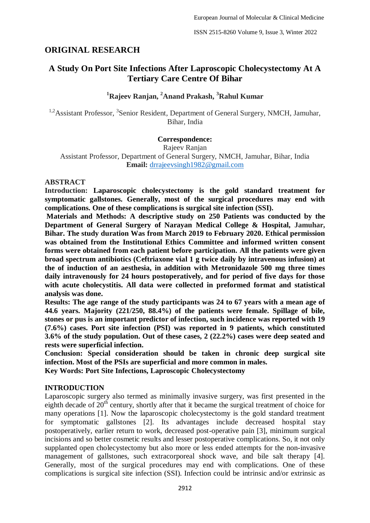# **ORIGINAL RESEARCH**

# **A Study On Port Site Infections After Laproscopic Cholecystectomy At A Tertiary Care Centre Of Bihar**

# **<sup>1</sup>Rajeev Ranjan, <sup>2</sup>Anand Prakash, <sup>3</sup>Rahul Kumar**

<sup>1,2</sup> Assistant Professor, <sup>3</sup> Senior Resident, Department of General Surgery, NMCH, Jamuhar, Bihar, India

#### **Correspondence:**

Rajeev Ranjan Assistant Professor, Department of General Surgery, NMCH, Jamuhar, Bihar, India **Email:** [drrajeevsingh1982@gmail.com](mailto:drrajeevsingh1982@gmail.com)

#### **ABSTRACT**

**Introduction: Laparoscopic cholecystectomy is the gold standard treatment for symptomatic gallstones. Generally, most of the surgical procedures may end with complications. One of these complications is surgical site infection (SSI).**

**Materials and Methods: A descriptive study on 250 Patients was conducted by the Department of General Surgery of Narayan Medical College & Hospital, Jamuhar, Bihar. The study duration Was from March 2019 to February 2020. Ethical permission was obtained from the Institutional Ethics Committee and informed written consent forms were obtained from each patient before participation. All the patients were given broad spectrum antibiotics (Ceftriaxone vial 1 g twice daily by intravenous infusion) at the of induction of an aesthesia, in addition with Metronidazole 500 mg three times daily intravenously for 24 hours postoperatively, and for period of five days for those with acute cholecystitis. All data were collected in preformed format and statistical analysis was done.** 

**Results: The age range of the study participants was 24 to 67 years with a mean age of 44.6 years. Majority (221/250, 88.4%) of the patients were female. Spillage of bile, stones or pus is an important predictor of infection, such incidence was reported with 19 (7.6%) cases. Port site infection (PSI) was reported in 9 patients, which constituted 3.6% of the study population. Out of these cases, 2 (22.2%) cases were deep seated and rests were superficial infection.**

**Conclusion: Special consideration should be taken in chronic deep surgical site infection. Most of the PSIs are superficial and more common in males. Key Words: Port Site Infections, Laproscopic Cholecystectomy**

## **INTRODUCTION**

Laparoscopic surgery also termed as minimally invasive surgery, was first presented in the eighth decade of 20<sup>th</sup> century, shortly after that it became the surgical treatment of choice for many operations [1]. Now the laparoscopic cholecystectomy is the gold standard treatment for symptomatic gallstones [2]. Its advantages include decreased hospital stay postoperatively, earlier return to work, decreased post-operative pain [3], minimum surgical incisions and so better cosmetic results and lesser postoperative complications. So, it not only supplanted open cholecystectomy but also more or less ended attempts for the non-invasive management of gallstones, such extracorporeal shock wave, and bile salt therapy [4]. Generally, most of the surgical procedures may end with complications. One of these complications is surgical site infection (SSI). Infection could be intrinsic and/or extrinsic as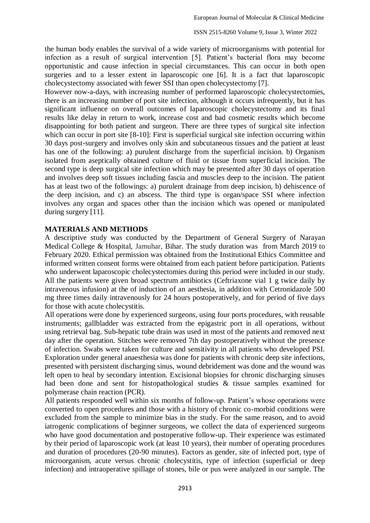the human body enables the survival of a wide variety of microorganisms with potential for infection as a result of surgical intervention [5]. Patient's bacterial flora may become opportunistic and cause infection in special circumstances. This can occur in both open surgeries and to a lesser extent in laparoscopic one [6]. It is a fact that laparoscopic cholecystectomy associated with fewer SSI than open cholecystectomy [7].

However now-a-days, with increasing number of performed laparoscopic cholecystectomies, there is an increasing number of port site infection, although it occurs infrequently, but it has significant influence on overall outcomes of laparoscopic cholecystectomy and its final results like delay in return to work, increase cost and bad cosmetic results which become disappointing for both patient and surgeon. There are three types of surgical site infection which can occur in port site [8-10]: First is superficial surgical site infection occurring within 30 days post-surgery and involves only skin and subcutaneous tissues and the patient at least has one of the following: a) purulent discharge from the superficial incision. b) Organism isolated from aseptically obtained culture of fluid or tissue from superficial incision. The second type is deep surgical site infection which may be presented after 30 days of operation and involves deep soft tissues including fascia and muscles deep to the incision. The patient has at least two of the followings: a) purulent drainage from deep incision, b) dehiscence of the deep incision, and c) an abscess. The third type is organ/space SSI where infection involves any organ and spaces other than the incision which was opened or manipulated during surgery [11].

### **MATERIALS AND METHODS**

A descriptive study was conducted by the Department of General Surgery of Narayan Medical College & Hospital, Jamuhar, Bihar. The study duration was from March 2019 to February 2020. Ethical permission was obtained from the Institutional Ethics Committee and informed written consent forms were obtained from each patient before participation. Patients who underwent laparoscopic cholecystectomies during this period were included in our study. All the patients were given broad spectrum antibiotics (Ceftriaxone vial 1 g twice daily by intravenous infusion) at the of induction of an aesthesia, in addition with Cetronidazole 500 mg three times daily intravenously for 24 hours postoperatively, and for period of five days for those with acute cholecystitis.

All operations were done by experienced surgeons, using four ports procedures, with reusable instruments; gallbladder was extracted from the epigastric port in all operations, without using retrieval bag. Sub-hepatic tube drain was used in most of the patients and removed next day after the operation. Stitches were removed 7th day postoperatively without the presence of infection. Swabs were taken for culture and sensitivity in all patients who developed PSI. Exploration under general anaesthesia was done for patients with chronic deep site infections, presented with persistent discharging sinus, wound debridement was done and the wound was left open to heal by secondary intention. Excisional biopsies for chronic discharging sinuses had been done and sent for histopathological studies & tissue samples examined for polymerase chain reaction (PCR).

All patients responded well within six months of follow-up. Patient's whose operations were converted to open procedures and those with a history of chronic co-morbid conditions were excluded from the sample to minimize bias in the study. For the same reason, and to avoid iatrogenic complications of beginner surgeons, we collect the data of experienced surgeons who have good documentation and postoperative follow-up. Their experience was estimated by their period of laparoscopic work (at least 10 years), their number of operating procedures and duration of procedures (20-90 minutes). Factors as gender, site of infected port, type of microorganism, acute versus chronic cholecystitis, type of infection (superficial or deep infection) and intraoperative spillage of stones, bile or pus were analyzed in our sample. The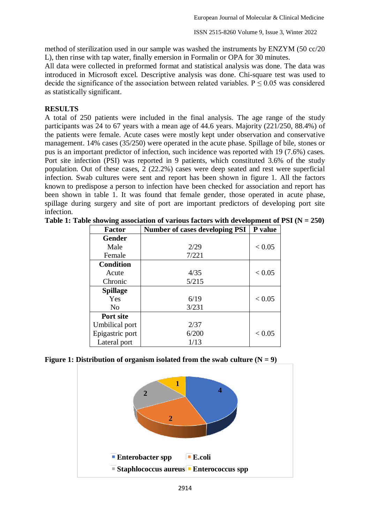method of sterilization used in our sample was washed the instruments by ENZYM (50 cc/20 L), then rinse with tap water, finally emersion in Formalin or OPA for 30 minutes.

All data were collected in preformed format and statistical analysis was done. The data was introduced in Microsoft excel. Descriptive analysis was done. Chi-square test was used to decide the significance of the association between related variables.  $P \le 0.05$  was considered as statistically significant.

## **RESULTS**

A total of 250 patients were included in the final analysis. The age range of the study participants was 24 to 67 years with a mean age of 44.6 years. Majority (221/250, 88.4%) of the patients were female. Acute cases were mostly kept under observation and conservative management. 14% cases (35/250) were operated in the acute phase. Spillage of bile, stones or pus is an important predictor of infection, such incidence was reported with 19 (7.6%) cases. Port site infection (PSI) was reported in 9 patients, which constituted 3.6% of the study population. Out of these cases, 2 (22.2%) cases were deep seated and rest were superficial infection. Swab cultures were sent and report has been shown in figure 1. All the factors known to predispose a person to infection have been checked for association and report has been shown in table 1. It was found that female gender, those operated in acute phase, spillage during surgery and site of port are important predictors of developing port site infection.

| <b>Factor</b>    | <b>Number of cases developing PSI</b> | P value |
|------------------|---------------------------------------|---------|
| <b>Gender</b>    |                                       |         |
| Male             | 2/29                                  | < 0.05  |
| Female           | 7/221                                 |         |
| <b>Condition</b> |                                       |         |
| Acute            | 4/35                                  | < 0.05  |
| Chronic          | 5/215                                 |         |
| <b>Spillage</b>  |                                       |         |
| Yes              | 6/19                                  | < 0.05  |
| N <sub>0</sub>   | 3/231                                 |         |
| Port site        |                                       |         |
| Umbilical port   | 2/37                                  |         |
| Epigastric port  | 6/200                                 | < 0.05  |
| Lateral port     | 1/13                                  |         |

**Table 1: Table showing association of various factors with development of PSI (N = 250)**

### **Figure 1: Distribution of organism isolated from the swab culture**  $(N = 9)$

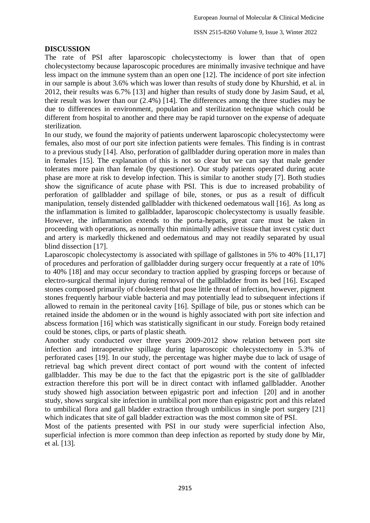#### **DISCUSSION**

The rate of PSI after laparoscopic cholecystectomy is lower than that of open cholecystectomy because laparoscopic procedures are minimally invasive technique and have less impact on the immune system than an open one [12]. The incidence of port site infection in our sample is about 3.6% which was lower than results of study done by Khurshid, et al. in 2012, their results was 6.7% [13] and higher than results of study done by Jasim Saud, et al, their result was lower than our (2.4%) [14]. The differences among the three studies may be due to differences in environment, population and sterilization technique which could be different from hospital to another and there may be rapid turnover on the expense of adequate sterilization.

In our study, we found the majority of patients underwent laparoscopic cholecystectomy were females, also most of our port site infection patients were females. This finding is in contrast to a previous study [14]. Also, perforation of gallbladder during operation more in males than in females [15]. The explanation of this is not so clear but we can say that male gender tolerates more pain than female (by questioner). Our study patients operated during acute phase are more at risk to develop infection. This is similar to another study [7]. Both studies show the significance of acute phase with PSI. This is due to increased probability of perforation of gallbladder and spillage of bile, stones, or pus as a result of difficult manipulation, tensely distended gallbladder with thickened oedematous wall [16]. As long as the inflammation is limited to gallbladder, laparoscopic cholecystectomy is usually feasible. However, the inflammation extends to the porta-hepatis, great care must be taken in proceeding with operations, as normally thin minimally adhesive tissue that invest cystic duct and artery is markedly thickened and oedematous and may not readily separated by usual blind dissection [17].

Laparoscopic cholecystectomy is associated with spillage of gallstones in 5% to 40% [11,17] of procedures and perforation of gallbladder during surgery occur frequently at a rate of 10% to 40% [18] and may occur secondary to traction applied by grasping forceps or because of electro-surgical thermal injury during removal of the gallbladder from its bed [16]. Escaped stones composed primarily of cholesterol that pose little threat of infection, however, pigment stones frequently harbour viable bacteria and may potentially lead to subsequent infections if allowed to remain in the peritoneal cavity [16]. Spillage of bile, pus or stones which can be retained inside the abdomen or in the wound is highly associated with port site infection and abscess formation [16] which was statistically significant in our study. Foreign body retained could be stones, clips, or parts of plastic sheath.

Another study conducted over three years 2009-2012 show relation between port site infection and intraoperative spillage during laparoscopic cholecystectomy in 5.3% of perforated cases [19]. In our study, the percentage was higher maybe due to lack of usage of retrieval bag which prevent direct contact of port wound with the content of infected gallbladder. This may be due to the fact that the epigastric port is the site of gallbladder extraction therefore this port will be in direct contact with inflamed gallbladder. Another study showed high association between epigastric port and infection [20] and in another study, shows surgical site infection in umbilical port more than epigastric port and this related to umbilical flora and gall bladder extraction through umbilicus in single port surgery [21] which indicates that site of gall bladder extraction was the most common site of PSI.

Most of the patients presented with PSI in our study were superficial infection Also, superficial infection is more common than deep infection as reported by study done by Mir, et al. [13].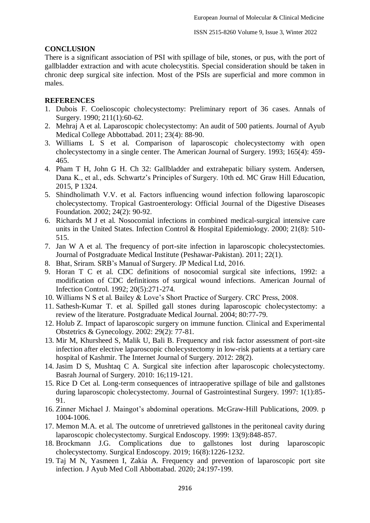## **CONCLUSION**

There is a significant association of PSI with spillage of bile, stones, or pus, with the port of gallbladder extraction and with acute cholecystitis. Special consideration should be taken in chronic deep surgical site infection. Most of the PSIs are superficial and more common in males.

# **REFERENCES**

- 1. Dubois F. Coelioscopic cholecystectomy: Preliminary report of 36 cases. Annals of Surgery. 1990; 211(1):60-62.
- 2. Mehraj A et al. Laparoscopic cholecystectomy: An audit of 500 patients. Journal of Ayub Medical College Abbottabad. 2011; 23(4): 88-90.
- 3. Williams L S et al. Comparison of laparoscopic cholecystectomy with open cholecystectomy in a single center. The American Journal of Surgery. 1993; 165(4): 459- 465.
- 4. Pham T H, John G H. Ch 32: Gallbladder and extrahepatic biliary system. Andersen, Dana K., et al., eds. Schwartz's Principles of Surgery. 10th ed. MC Graw Hill Education, 2015, P 1324.
- 5. Shindholimath V.V. et al. Factors influencing wound infection following laparoscopic cholecystectomy. Tropical Gastroenterology: Official Journal of the Digestive Diseases Foundation. 2002; 24(2): 90-92.
- 6. Richards M J et al. Nosocomial infections in combined medical-surgical intensive care units in the United States. Infection Control & Hospital Epidemiology. 2000; 21(8): 510- 515.
- 7. Jan W A et al. The frequency of port-site infection in laparoscopic cholecystectomies. Journal of Postgraduate Medical Institute (Peshawar-Pakistan). 2011; 22(1).
- 8. Bhat, Sriram. SRB's Manual of Surgery. JP Medical Ltd, 2016.
- 9. Horan T C et al. CDC definitions of nosocomial surgical site infections, 1992: a modification of CDC definitions of surgical wound infections. American Journal of Infection Control. 1992; 20(5):271-274.
- 10. Williams N S et al. Bailey & Love's Short Practice of Surgery. CRC Press, 2008.
- 11. Sathesh-Kumar T. et al. Spilled gall stones during laparoscopic cholecystectomy: a review of the literature. Postgraduate Medical Journal. 2004; 80:77-79.
- 12. Holub Z. Impact of laparoscopic surgery on immune function. Clinical and Experimental Obstetrics & Gynecology. 2002: 29(2): 77-81.
- 13. Mir M, Khursheed S, Malik U, Bali B. Frequency and risk factor assessment of port-site infection after elective laparoscopic cholecystectomy in low-risk patients at a tertiary care hospital of Kashmir. The Internet Journal of Surgery. 2012: 28(2).
- 14. Jasim D S, Mushtaq C A. Surgical site infection after laparoscopic cholecystectomy. Basrah Journal of Surgery. 2010: 16;119-121.
- 15. Rice D Cet al. Long-term consequences of intraoperative spillage of bile and gallstones during laparoscopic cholecystectomy. Journal of Gastrointestinal Surgery. 1997: 1(1):85- 91.
- 16. Zinner Michael J. Maingot's abdominal operations. McGraw-Hill Publications, 2009. p 1004-1006.
- 17. Memon M.A. et al. The outcome of unretrieved gallstones in the peritoneal cavity during laparoscopic cholecystectomy. Surgical Endoscopy. 1999: 13(9):848-857.
- 18. Brockmann J.G. Complications due to gallstones lost during laparoscopic cholecystectomy. Surgical Endoscopy. 2019; 16(8):1226-1232.
- 19. Taj M N, Yasmeen I, Zakia A. Frequency and prevention of laparoscopic port site infection. J Ayub Med Coll Abbottabad. 2020; 24:197-199.